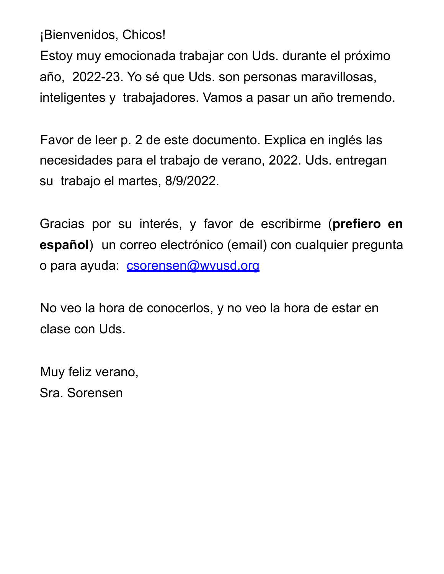¡Bienvenidos, Chicos!

Estoy muy emocionada trabajar con Uds. durante el próximo año, 2022-23. Yo sé que Uds. son personas maravillosas, inteligentes y trabajadores. Vamos a pasar un año tremendo.

Favor de leer p. 2 de este documento. Explica en inglés las necesidades para el trabajo de verano, 2022. Uds. entregan su trabajo el martes, 8/9/2022.

Gracias por su interés, y favor de escribirme (**prefiero en español**) un correo electrónico (email) con cualquier pregunta o para ayuda: csorensen@wvusd.org

No veo la hora de conocerlos, y no veo la hora de estar en clase con Uds.

Muy feliz verano, Sra. Sorensen